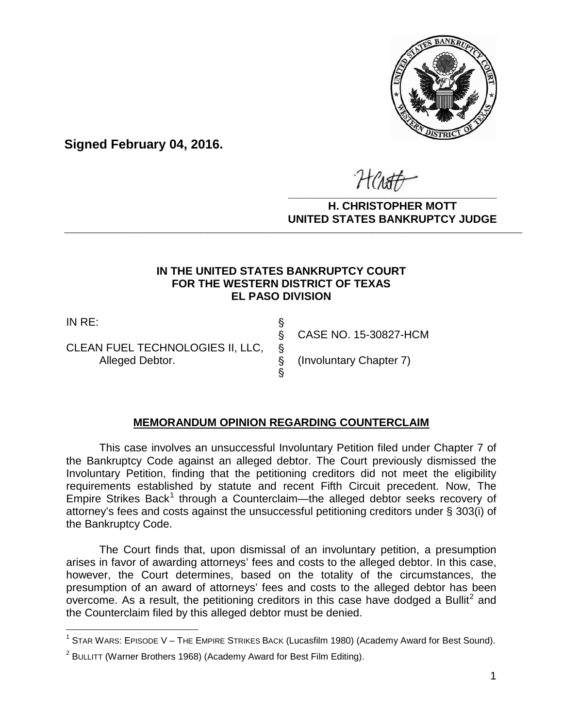

**Signed February 04, 2016.**

**\_\_\_\_\_\_\_\_\_\_\_\_\_\_\_\_\_\_\_\_\_\_\_\_\_\_\_\_\_\_\_\_\_\_**

#### **H. CHRISTOPHER MOTT UNITED STATES BANKRUPTCY JUDGE PATTED DRIVING TOT 00DCL**

## **IN THE UNITED STATES BANKRUPTCY COURT FOR THE WESTERN DISTRICT OF TEXAS EL PASO DIVISION**

IN RE: '

 $\overline{\phantom{a}}$ 

CLEAN FUEL TECHNOLOGIES II, LLC, §<br>Alleged Debtor. \$ Alleged Debtor.  $\S$  (Involuntary Chapter 7)

§ CASE NO. 15-30827-HCM

## **MEMORANDUM OPINION REGARDING COUNTERCLAIM**

 $\hat{\mathcal{S}}$ 

This case involves an unsuccessful Involuntary Petition filed under Chapter 7 of the Bankruptcy Code against an alleged debtor. The Court previously dismissed the Involuntary Petition, finding that the petitioning creditors did not meet the eligibility requirements established by statute and recent Fifth Circuit precedent. Now, The Empire Strikes Back<sup>1</sup> through a Counterclaim—the alleged debtor seeks recovery of attorney's fees and costs against the unsuccessful petitioning creditors under § 303(i) of the Bankruptcy Code.

The Court finds that, upon dismissal of an involuntary petition, a presumption arises in favor of awarding attorneys' fees and costs to the alleged debtor. In this case, however, the Court determines, based on the totality of the circumstances, the presumption of an award of attorneys' fees and costs to the alleged debtor has been overcome. As a result, the petitioning creditors in this case have dodged a Bullit<sup>2</sup> and the Counterclaim filed by this alleged debtor must be denied.

<sup>&</sup>lt;sup>1</sup> STAR WARS: EPISODE V – THE EMPIRE STRIKES BACK (Lucasfilm 1980) (Academy Award for Best Sound).

 $^2$  BULLITT (Warner Brothers 1968) (Academy Award for Best Film Editing).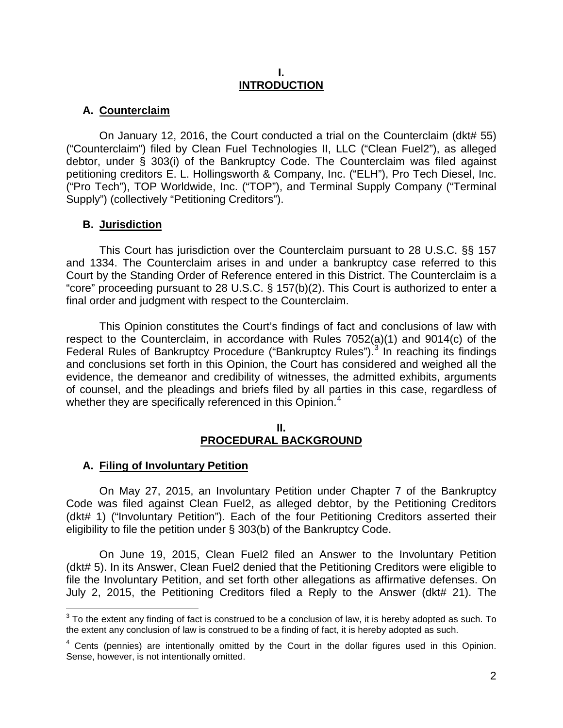#### **I. INTRODUCTION**

# **A. Counterclaim**

On January 12, 2016, the Court conducted a trial on the Counterclaim (dkt# 55) ("Counterclaim") filed by Clean Fuel Technologies II, LLC ("Clean Fuel2"), as alleged debtor, under § 303(i) of the Bankruptcy Code. The Counterclaim was filed against petitioning creditors E. L. Hollingsworth & Company, Inc. ("ELH"), Pro Tech Diesel, Inc. ("Pro Tech"), TOP Worldwide, Inc. ("TOP"), and Terminal Supply Company ("Terminal Supply") (collectively "Petitioning Creditors").

# **B. Jurisdiction**

This Court has jurisdiction over the Counterclaim pursuant to 28 U.S.C. §§ 157 and 1334. The Counterclaim arises in and under a bankruptcy case referred to this Court by the Standing Order of Reference entered in this District. The Counterclaim is a "core" proceeding pursuant to 28 U.S.C. § 157(b)(2). This Court is authorized to enter a final order and judgment with respect to the Counterclaim.

This Opinion constitutes the Court's findings of fact and conclusions of law with respect to the Counterclaim, in accordance with Rules 7052(a)(1) and 9014(c) of the Federal Rules of Bankruptcy Procedure ("Bankruptcy Rules").<sup>3</sup> In reaching its findings and conclusions set forth in this Opinion, the Court has considered and weighed all the evidence, the demeanor and credibility of witnesses, the admitted exhibits, arguments of counsel, and the pleadings and briefs filed by all parties in this case, regardless of whether they are specifically referenced in this Opinion.<sup>4</sup>

#### **II. PROCEDURAL BACKGROUND**

## **A. Filing of Involuntary Petition**

On May 27, 2015, an Involuntary Petition under Chapter 7 of the Bankruptcy Code was filed against Clean Fuel2, as alleged debtor, by the Petitioning Creditors (dkt# 1) ("Involuntary Petition"). Each of the four Petitioning Creditors asserted their eligibility to file the petition under § 303(b) of the Bankruptcy Code.

On June 19, 2015, Clean Fuel2 filed an Answer to the Involuntary Petition (dkt# 5). In its Answer, Clean Fuel2 denied that the Petitioning Creditors were eligible to file the Involuntary Petition, and set forth other allegations as affirmative defenses. On July 2, 2015, the Petitioning Creditors filed a Reply to the Answer (dkt# 21). The

 $\overline{a}$  $^3$  To the extent any finding of fact is construed to be a conclusion of law, it is hereby adopted as such. To the extent any conclusion of law is construed to be a finding of fact, it is hereby adopted as such.

<sup>4</sup> Cents (pennies) are intentionally omitted by the Court in the dollar figures used in this Opinion. Sense, however, is not intentionally omitted.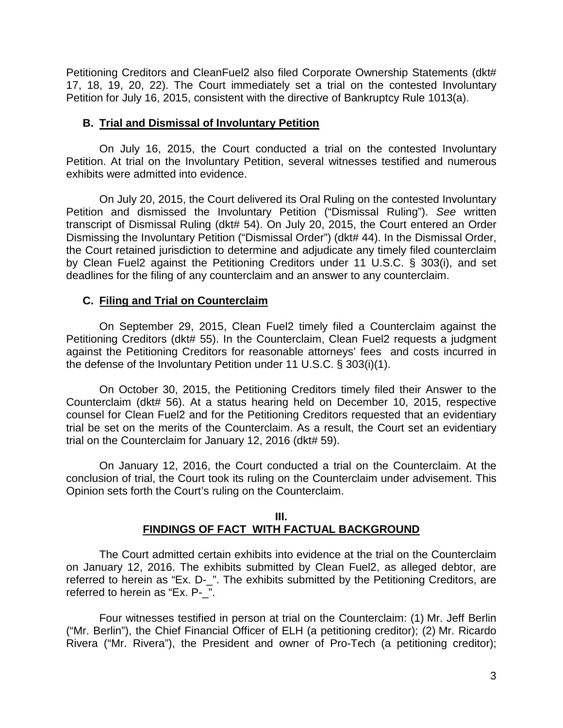Petitioning Creditors and CleanFuel2 also filed Corporate Ownership Statements (dkt# 17, 18, 19, 20, 22). The Court immediately set a trial on the contested Involuntary Petition for July 16, 2015, consistent with the directive of Bankruptcy Rule 1013(a).

#### **B. Trial and Dismissal of Involuntary Petition**

On July 16, 2015, the Court conducted a trial on the contested Involuntary Petition. At trial on the Involuntary Petition, several witnesses testified and numerous exhibits were admitted into evidence.

On July 20, 2015, the Court delivered its Oral Ruling on the contested Involuntary Petition and dismissed the Involuntary Petition ("Dismissal Ruling"). *See* written transcript of Dismissal Ruling (dkt# 54). On July 20, 2015, the Court entered an Order Dismissing the Involuntary Petition ("Dismissal Order") (dkt# 44). In the Dismissal Order, the Court retained jurisdiction to determine and adjudicate any timely filed counterclaim by Clean Fuel2 against the Petitioning Creditors under 11 U.S.C. § 303(i), and set deadlines for the filing of any counterclaim and an answer to any counterclaim.

## **C. Filing and Trial on Counterclaim**

On September 29, 2015, Clean Fuel2 timely filed a Counterclaim against the Petitioning Creditors (dkt# 55). In the Counterclaim, Clean Fuel2 requests a judgment against the Petitioning Creditors for reasonable attorneys' fees and costs incurred in the defense of the Involuntary Petition under 11 U.S.C. § 303(i)(1).

On October 30, 2015, the Petitioning Creditors timely filed their Answer to the Counterclaim (dkt# 56). At a status hearing held on December 10, 2015, respective counsel for Clean Fuel2 and for the Petitioning Creditors requested that an evidentiary trial be set on the merits of the Counterclaim. As a result, the Court set an evidentiary trial on the Counterclaim for January 12, 2016 (dkt# 59).

On January 12, 2016, the Court conducted a trial on the Counterclaim. At the conclusion of trial, the Court took its ruling on the Counterclaim under advisement. This Opinion sets forth the Court's ruling on the Counterclaim.

#### **III. FINDINGS OF FACT WITH FACTUAL BACKGROUND**

The Court admitted certain exhibits into evidence at the trial on the Counterclaim on January 12, 2016. The exhibits submitted by Clean Fuel2, as alleged debtor, are referred to herein as "Ex. D-\_". The exhibits submitted by the Petitioning Creditors, are referred to herein as "Ex. P- ".

Four witnesses testified in person at trial on the Counterclaim: (1) Mr. Jeff Berlin ("Mr. Berlin"), the Chief Financial Officer of ELH (a petitioning creditor); (2) Mr. Ricardo Rivera ("Mr. Rivera"), the President and owner of Pro-Tech (a petitioning creditor);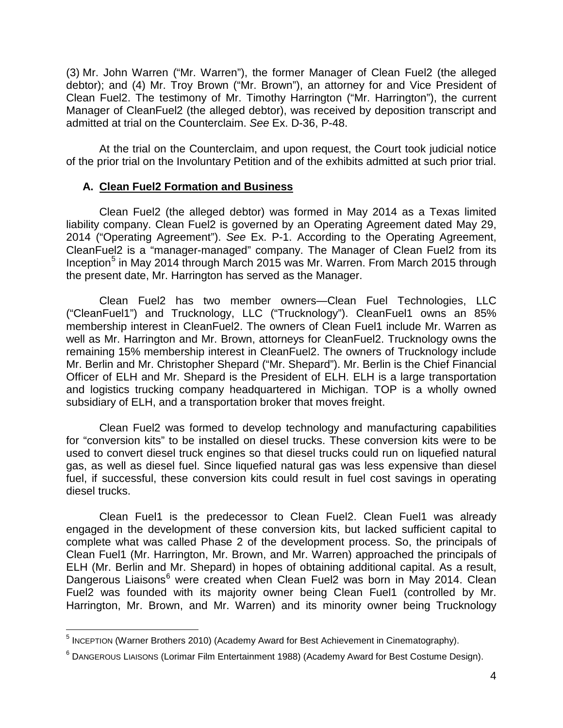(3) Mr. John Warren ("Mr. Warren"), the former Manager of Clean Fuel2 (the alleged debtor); and (4) Mr. Troy Brown ("Mr. Brown"), an attorney for and Vice President of Clean Fuel2. The testimony of Mr. Timothy Harrington ("Mr. Harrington"), the current Manager of CleanFuel2 (the alleged debtor), was received by deposition transcript and admitted at trial on the Counterclaim. *See* Ex. D-36, P-48.

At the trial on the Counterclaim, and upon request, the Court took judicial notice of the prior trial on the Involuntary Petition and of the exhibits admitted at such prior trial.

## **A. Clean Fuel2 Formation and Business**

Clean Fuel2 (the alleged debtor) was formed in May 2014 as a Texas limited liability company. Clean Fuel2 is governed by an Operating Agreement dated May 29, 2014 ("Operating Agreement"). *See* Ex. P-1. According to the Operating Agreement, CleanFuel2 is a "manager-managed" company. The Manager of Clean Fuel2 from its Inception<sup>5</sup> in May 2014 through March 2015 was Mr. Warren. From March 2015 through the present date, Mr. Harrington has served as the Manager.

Clean Fuel2 has two member owners—Clean Fuel Technologies, LLC ("CleanFuel1") and Trucknology, LLC ("Trucknology"). CleanFuel1 owns an 85% membership interest in CleanFuel2. The owners of Clean Fuel1 include Mr. Warren as well as Mr. Harrington and Mr. Brown, attorneys for CleanFuel2. Trucknology owns the remaining 15% membership interest in CleanFuel2. The owners of Trucknology include Mr. Berlin and Mr. Christopher Shepard ("Mr. Shepard"). Mr. Berlin is the Chief Financial Officer of ELH and Mr. Shepard is the President of ELH. ELH is a large transportation and logistics trucking company headquartered in Michigan. TOP is a wholly owned subsidiary of ELH, and a transportation broker that moves freight.

Clean Fuel2 was formed to develop technology and manufacturing capabilities for "conversion kits" to be installed on diesel trucks. These conversion kits were to be used to convert diesel truck engines so that diesel trucks could run on liquefied natural gas, as well as diesel fuel. Since liquefied natural gas was less expensive than diesel fuel, if successful, these conversion kits could result in fuel cost savings in operating diesel trucks.

Clean Fuel1 is the predecessor to Clean Fuel2. Clean Fuel1 was already engaged in the development of these conversion kits, but lacked sufficient capital to complete what was called Phase 2 of the development process. So, the principals of Clean Fuel1 (Mr. Harrington, Mr. Brown, and Mr. Warren) approached the principals of ELH (Mr. Berlin and Mr. Shepard) in hopes of obtaining additional capital. As a result, Dangerous Liaisons<sup>6</sup> were created when Clean Fuel2 was born in May 2014. Clean Fuel2 was founded with its majority owner being Clean Fuel1 (controlled by Mr. Harrington, Mr. Brown, and Mr. Warren) and its minority owner being Trucknology

 5 INCEPTION (Warner Brothers 2010) (Academy Award for Best Achievement in Cinematography).

<sup>6</sup> DANGEROUS LIAISONS (Lorimar Film Entertainment 1988) (Academy Award for Best Costume Design).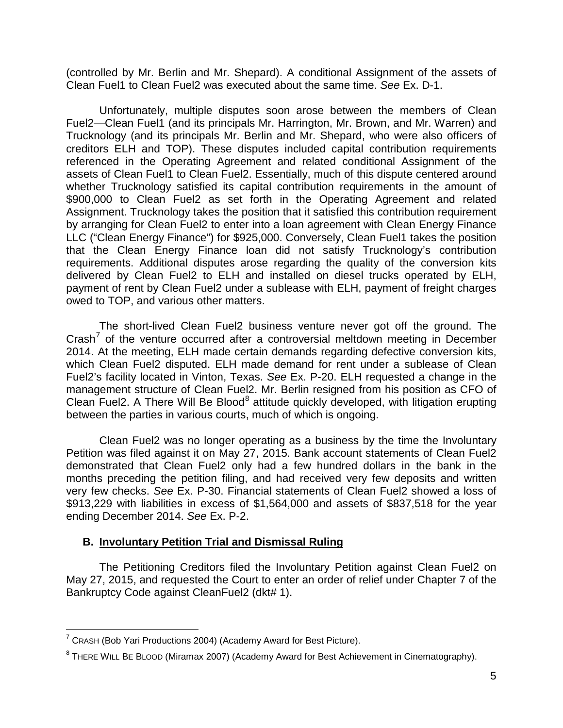(controlled by Mr. Berlin and Mr. Shepard). A conditional Assignment of the assets of Clean Fuel1 to Clean Fuel2 was executed about the same time. *See* Ex. D-1.

Unfortunately, multiple disputes soon arose between the members of Clean Fuel2—Clean Fuel1 (and its principals Mr. Harrington, Mr. Brown, and Mr. Warren) and Trucknology (and its principals Mr. Berlin and Mr. Shepard, who were also officers of creditors ELH and TOP). These disputes included capital contribution requirements referenced in the Operating Agreement and related conditional Assignment of the assets of Clean Fuel1 to Clean Fuel2. Essentially, much of this dispute centered around whether Trucknology satisfied its capital contribution requirements in the amount of \$900,000 to Clean Fuel2 as set forth in the Operating Agreement and related Assignment. Trucknology takes the position that it satisfied this contribution requirement by arranging for Clean Fuel2 to enter into a loan agreement with Clean Energy Finance LLC ("Clean Energy Finance") for \$925,000. Conversely, Clean Fuel1 takes the position that the Clean Energy Finance loan did not satisfy Trucknology's contribution requirements. Additional disputes arose regarding the quality of the conversion kits delivered by Clean Fuel2 to ELH and installed on diesel trucks operated by ELH, payment of rent by Clean Fuel2 under a sublease with ELH, payment of freight charges owed to TOP, and various other matters.

 The short-lived Clean Fuel2 business venture never got off the ground. The Crash<sup>7</sup> of the venture occurred after a controversial meltdown meeting in December 2014. At the meeting, ELH made certain demands regarding defective conversion kits, which Clean Fuel2 disputed. ELH made demand for rent under a sublease of Clean Fuel2's facility located in Vinton, Texas. *See* Ex. P-20. ELH requested a change in the management structure of Clean Fuel2. Mr. Berlin resigned from his position as CFO of Clean Fuel2. A There Will Be Blood<sup>8</sup> attitude quickly developed, with litigation erupting between the parties in various courts, much of which is ongoing.

Clean Fuel2 was no longer operating as a business by the time the Involuntary Petition was filed against it on May 27, 2015. Bank account statements of Clean Fuel2 demonstrated that Clean Fuel2 only had a few hundred dollars in the bank in the months preceding the petition filing, and had received very few deposits and written very few checks. *See* Ex. P-30. Financial statements of Clean Fuel2 showed a loss of \$913,229 with liabilities in excess of \$1,564,000 and assets of \$837,518 for the year ending December 2014. *See* Ex. P-2.

## **B. Involuntary Petition Trial and Dismissal Ruling**

The Petitioning Creditors filed the Involuntary Petition against Clean Fuel2 on May 27, 2015, and requested the Court to enter an order of relief under Chapter 7 of the Bankruptcy Code against CleanFuel2 (dkt# 1).

 $\overline{a}$ 

<sup>&</sup>lt;sup>7</sup> CRASH (Bob Yari Productions 2004) (Academy Award for Best Picture).

 $^8$  THERE WILL BE BLOOD (Miramax 2007) (Academy Award for Best Achievement in Cinematography).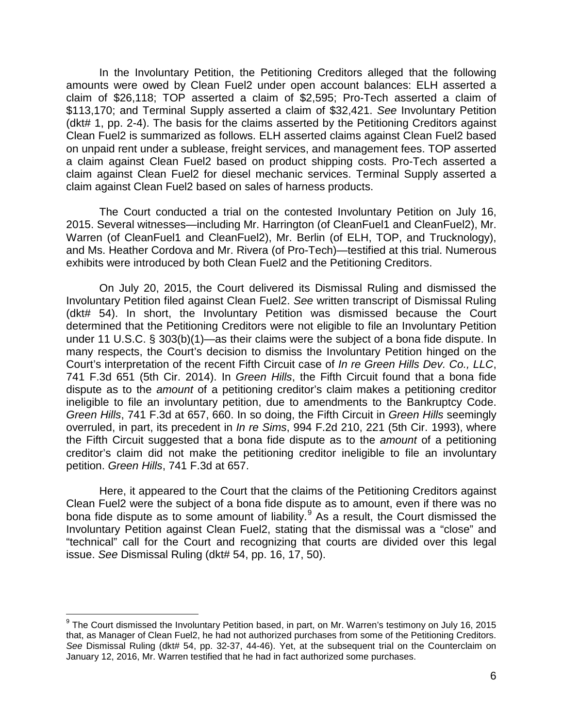In the Involuntary Petition, the Petitioning Creditors alleged that the following amounts were owed by Clean Fuel2 under open account balances: ELH asserted a claim of \$26,118; TOP asserted a claim of \$2,595; Pro-Tech asserted a claim of \$113,170; and Terminal Supply asserted a claim of \$32,421. *See* Involuntary Petition (dkt# 1, pp. 2-4). The basis for the claims asserted by the Petitioning Creditors against Clean Fuel2 is summarized as follows. ELH asserted claims against Clean Fuel2 based on unpaid rent under a sublease, freight services, and management fees. TOP asserted a claim against Clean Fuel2 based on product shipping costs. Pro-Tech asserted a claim against Clean Fuel2 for diesel mechanic services. Terminal Supply asserted a claim against Clean Fuel2 based on sales of harness products.

The Court conducted a trial on the contested Involuntary Petition on July 16, 2015. Several witnesses—including Mr. Harrington (of CleanFuel1 and CleanFuel2), Mr. Warren (of CleanFuel1 and CleanFuel2), Mr. Berlin (of ELH, TOP, and Trucknology), and Ms. Heather Cordova and Mr. Rivera (of Pro-Tech)—testified at this trial. Numerous exhibits were introduced by both Clean Fuel2 and the Petitioning Creditors.

On July 20, 2015, the Court delivered its Dismissal Ruling and dismissed the Involuntary Petition filed against Clean Fuel2. *See* written transcript of Dismissal Ruling (dkt# 54). In short, the Involuntary Petition was dismissed because the Court determined that the Petitioning Creditors were not eligible to file an Involuntary Petition under 11 U.S.C. § 303(b)(1)—as their claims were the subject of a bona fide dispute. In many respects, the Court's decision to dismiss the Involuntary Petition hinged on the Court's interpretation of the recent Fifth Circuit case of *In re Green Hills Dev. Co., LLC*, 741 F.3d 651 (5th Cir. 2014). In *Green Hills*, the Fifth Circuit found that a bona fide dispute as to the *amount* of a petitioning creditor's claim makes a petitioning creditor ineligible to file an involuntary petition, due to amendments to the Bankruptcy Code. *Green Hills*, 741 F.3d at 657, 660. In so doing, the Fifth Circuit in *Green Hills* seemingly overruled, in part, its precedent in *In re Sims*, 994 F.2d 210, 221 (5th Cir. 1993), where the Fifth Circuit suggested that a bona fide dispute as to the *amount* of a petitioning creditor's claim did not make the petitioning creditor ineligible to file an involuntary petition. *Green Hills*, 741 F.3d at 657.

Here, it appeared to the Court that the claims of the Petitioning Creditors against Clean Fuel2 were the subject of a bona fide dispute as to amount, even if there was no bona fide dispute as to some amount of liability.<sup>9</sup> As a result, the Court dismissed the Involuntary Petition against Clean Fuel2, stating that the dismissal was a "close" and "technical" call for the Court and recognizing that courts are divided over this legal issue. *See* Dismissal Ruling (dkt# 54, pp. 16, 17, 50).

 $\overline{a}$ 

 $9$  The Court dismissed the Involuntary Petition based, in part, on Mr. Warren's testimony on July 16, 2015 that, as Manager of Clean Fuel2, he had not authorized purchases from some of the Petitioning Creditors. *See* Dismissal Ruling (dkt# 54, pp. 32-37, 44-46). Yet, at the subsequent trial on the Counterclaim on January 12, 2016, Mr. Warren testified that he had in fact authorized some purchases.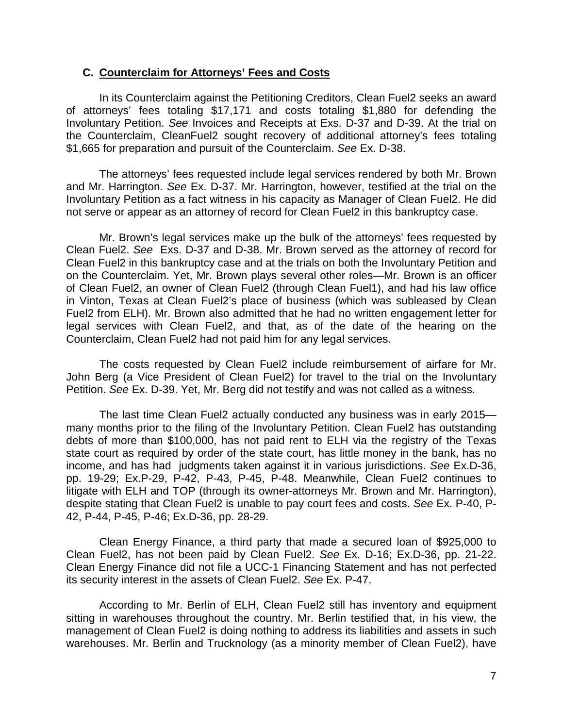#### **C. Counterclaim for Attorneys' Fees and Costs**

In its Counterclaim against the Petitioning Creditors, Clean Fuel2 seeks an award of attorneys' fees totaling \$17,171 and costs totaling \$1,880 for defending the Involuntary Petition. *See* Invoices and Receipts at Exs. D-37 and D-39. At the trial on the Counterclaim, CleanFuel2 sought recovery of additional attorney's fees totaling \$1,665 for preparation and pursuit of the Counterclaim. *See* Ex. D-38.

The attorneys' fees requested include legal services rendered by both Mr. Brown and Mr. Harrington. *See* Ex. D-37. Mr. Harrington, however, testified at the trial on the Involuntary Petition as a fact witness in his capacity as Manager of Clean Fuel2. He did not serve or appear as an attorney of record for Clean Fuel2 in this bankruptcy case.

Mr. Brown's legal services make up the bulk of the attorneys' fees requested by Clean Fuel2. *See* Exs. D-37 and D-38. Mr. Brown served as the attorney of record for Clean Fuel2 in this bankruptcy case and at the trials on both the Involuntary Petition and on the Counterclaim. Yet, Mr. Brown plays several other roles—Mr. Brown is an officer of Clean Fuel2, an owner of Clean Fuel2 (through Clean Fuel1), and had his law office in Vinton, Texas at Clean Fuel2's place of business (which was subleased by Clean Fuel2 from ELH). Mr. Brown also admitted that he had no written engagement letter for legal services with Clean Fuel2, and that, as of the date of the hearing on the Counterclaim, Clean Fuel2 had not paid him for any legal services.

The costs requested by Clean Fuel2 include reimbursement of airfare for Mr. John Berg (a Vice President of Clean Fuel2) for travel to the trial on the Involuntary Petition. *See* Ex. D-39. Yet, Mr. Berg did not testify and was not called as a witness.

 The last time Clean Fuel2 actually conducted any business was in early 2015 many months prior to the filing of the Involuntary Petition. Clean Fuel2 has outstanding debts of more than \$100,000, has not paid rent to ELH via the registry of the Texas state court as required by order of the state court, has little money in the bank, has no income, and has had judgments taken against it in various jurisdictions. *See* Ex.D-36, pp. 19-29; Ex.P-29, P-42, P-43, P-45, P-48. Meanwhile, Clean Fuel2 continues to litigate with ELH and TOP (through its owner-attorneys Mr. Brown and Mr. Harrington), despite stating that Clean Fuel2 is unable to pay court fees and costs. *See* Ex. P-40, P-42, P-44, P-45, P-46; Ex.D-36, pp. 28-29.

Clean Energy Finance, a third party that made a secured loan of \$925,000 to Clean Fuel2, has not been paid by Clean Fuel2. *See* Ex. D-16; Ex.D-36, pp. 21-22. Clean Energy Finance did not file a UCC-1 Financing Statement and has not perfected its security interest in the assets of Clean Fuel2. *See* Ex. P-47.

According to Mr. Berlin of ELH, Clean Fuel2 still has inventory and equipment sitting in warehouses throughout the country. Mr. Berlin testified that, in his view, the management of Clean Fuel2 is doing nothing to address its liabilities and assets in such warehouses. Mr. Berlin and Trucknology (as a minority member of Clean Fuel2), have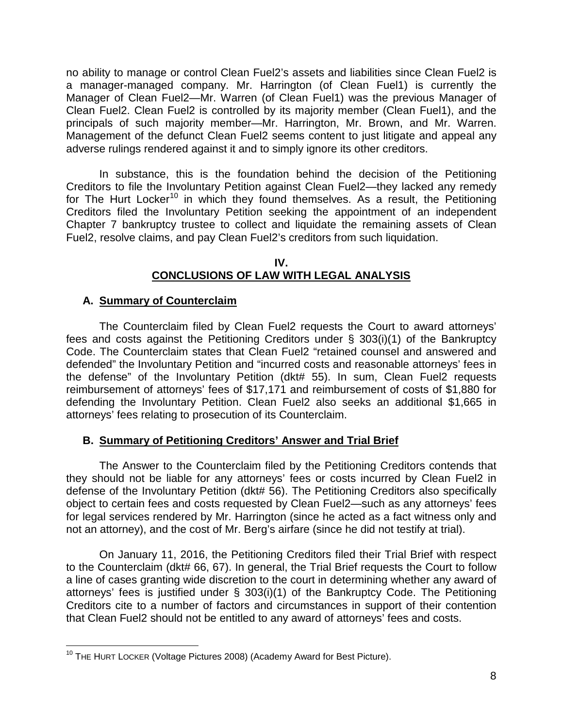no ability to manage or control Clean Fuel2's assets and liabilities since Clean Fuel2 is a manager-managed company. Mr. Harrington (of Clean Fuel1) is currently the Manager of Clean Fuel2—Mr. Warren (of Clean Fuel1) was the previous Manager of Clean Fuel2. Clean Fuel2 is controlled by its majority member (Clean Fuel1), and the principals of such majority member—Mr. Harrington, Mr. Brown, and Mr. Warren. Management of the defunct Clean Fuel2 seems content to just litigate and appeal any adverse rulings rendered against it and to simply ignore its other creditors.

In substance, this is the foundation behind the decision of the Petitioning Creditors to file the Involuntary Petition against Clean Fuel2—they lacked any remedy for The Hurt Locker<sup>10</sup> in which they found themselves. As a result, the Petitioning Creditors filed the Involuntary Petition seeking the appointment of an independent Chapter 7 bankruptcy trustee to collect and liquidate the remaining assets of Clean Fuel2, resolve claims, and pay Clean Fuel2's creditors from such liquidation.

#### **IV. CONCLUSIONS OF LAW WITH LEGAL ANALYSIS**

# **A. Summary of Counterclaim**

The Counterclaim filed by Clean Fuel2 requests the Court to award attorneys' fees and costs against the Petitioning Creditors under § 303(i)(1) of the Bankruptcy Code. The Counterclaim states that Clean Fuel2 "retained counsel and answered and defended" the Involuntary Petition and "incurred costs and reasonable attorneys' fees in the defense" of the Involuntary Petition (dkt# 55). In sum, Clean Fuel2 requests reimbursement of attorneys' fees of \$17,171 and reimbursement of costs of \$1,880 for defending the Involuntary Petition. Clean Fuel2 also seeks an additional \$1,665 in attorneys' fees relating to prosecution of its Counterclaim.

# **B. Summary of Petitioning Creditors' Answer and Trial Brief**

The Answer to the Counterclaim filed by the Petitioning Creditors contends that they should not be liable for any attorneys' fees or costs incurred by Clean Fuel2 in defense of the Involuntary Petition (dkt# 56). The Petitioning Creditors also specifically object to certain fees and costs requested by Clean Fuel2—such as any attorneys' fees for legal services rendered by Mr. Harrington (since he acted as a fact witness only and not an attorney), and the cost of Mr. Berg's airfare (since he did not testify at trial).

On January 11, 2016, the Petitioning Creditors filed their Trial Brief with respect to the Counterclaim (dkt# 66, 67). In general, the Trial Brief requests the Court to follow a line of cases granting wide discretion to the court in determining whether any award of attorneys' fees is justified under § 303(i)(1) of the Bankruptcy Code. The Petitioning Creditors cite to a number of factors and circumstances in support of their contention that Clean Fuel2 should not be entitled to any award of attorneys' fees and costs.

 $\overline{\phantom{a}}$ <sup>10</sup> THE HURT LOCKER (Voltage Pictures 2008) (Academy Award for Best Picture).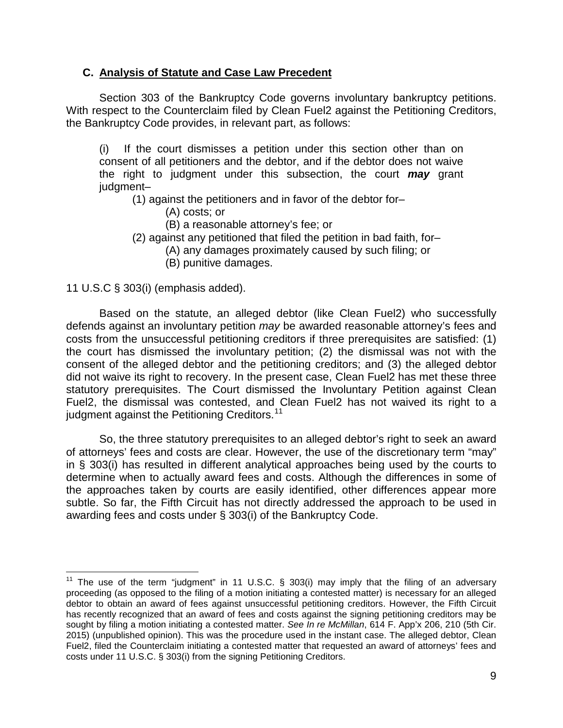# **C. Analysis of Statute and Case Law Precedent**

Section 303 of the Bankruptcy Code governs involuntary bankruptcy petitions. With respect to the Counterclaim filed by Clean Fuel2 against the Petitioning Creditors, the Bankruptcy Code provides, in relevant part, as follows:

(i) If the court dismisses a petition under this section other than on consent of all petitioners and the debtor, and if the debtor does not waive the right to judgment under this subsection, the court *may* grant judgment–

(1) against the petitioners and in favor of the debtor for–

- (A) costs; or
- (B) a reasonable attorney's fee; or
- (2) against any petitioned that filed the petition in bad faith, for–
	- (A) any damages proximately caused by such filing; or
	- (B) punitive damages.

## 11 U.S.C § 303(i) (emphasis added).

 $\overline{\phantom{a}}$ 

Based on the statute, an alleged debtor (like Clean Fuel2) who successfully defends against an involuntary petition *may* be awarded reasonable attorney's fees and costs from the unsuccessful petitioning creditors if three prerequisites are satisfied: (1) the court has dismissed the involuntary petition; (2) the dismissal was not with the consent of the alleged debtor and the petitioning creditors; and (3) the alleged debtor did not waive its right to recovery. In the present case, Clean Fuel2 has met these three statutory prerequisites. The Court dismissed the Involuntary Petition against Clean Fuel2, the dismissal was contested, and Clean Fuel2 has not waived its right to a judgment against the Petitioning Creditors.<sup>11</sup>

So, the three statutory prerequisites to an alleged debtor's right to seek an award of attorneys' fees and costs are clear. However, the use of the discretionary term "may" in § 303(i) has resulted in different analytical approaches being used by the courts to determine when to actually award fees and costs. Although the differences in some of the approaches taken by courts are easily identified, other differences appear more subtle. So far, the Fifth Circuit has not directly addressed the approach to be used in awarding fees and costs under § 303(i) of the Bankruptcy Code.

<sup>&</sup>lt;sup>11</sup> The use of the term "judgment" in 11 U.S.C.  $\S$  303(i) may imply that the filing of an adversary proceeding (as opposed to the filing of a motion initiating a contested matter) is necessary for an alleged debtor to obtain an award of fees against unsuccessful petitioning creditors. However, the Fifth Circuit has recently recognized that an award of fees and costs against the signing petitioning creditors may be sought by filing a motion initiating a contested matter. *See In re McMillan*, 614 F. App'x 206, 210 (5th Cir. 2015) (unpublished opinion). This was the procedure used in the instant case. The alleged debtor, Clean Fuel2, filed the Counterclaim initiating a contested matter that requested an award of attorneys' fees and costs under 11 U.S.C. § 303(i) from the signing Petitioning Creditors.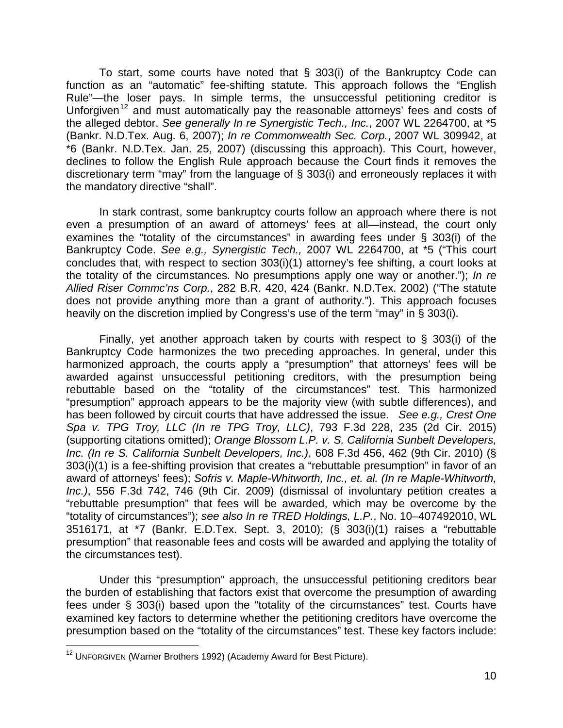To start, some courts have noted that § 303(i) of the Bankruptcy Code can function as an "automatic" fee-shifting statute. This approach follows the "English Rule"—the loser pays. In simple terms, the unsuccessful petitioning creditor is Unforgiven<sup>12</sup> and must automatically pay the reasonable attorneys' fees and costs of the alleged debtor. *See generally In re Synergistic Tech., Inc.*, 2007 WL 2264700, at \*5 (Bankr. N.D.Tex. Aug. 6, 2007); *In re Commonwealth Sec. Corp.*, 2007 WL 309942, at \*6 (Bankr. N.D.Tex. Jan. 25, 2007) (discussing this approach). This Court, however, declines to follow the English Rule approach because the Court finds it removes the discretionary term "may" from the language of § 303(i) and erroneously replaces it with the mandatory directive "shall".

In stark contrast, some bankruptcy courts follow an approach where there is not even a presumption of an award of attorneys' fees at all—instead, the court only examines the "totality of the circumstances" in awarding fees under § 303(i) of the Bankruptcy Code. *See e.g., Synergistic Tech.,* 2007 WL 2264700, at \*5 ("This court concludes that, with respect to section 303(i)(1) attorney's fee shifting, a court looks at the totality of the circumstances. No presumptions apply one way or another."); *In re Allied Riser Commc'ns Corp.*, 282 B.R. 420, 424 (Bankr. N.D.Tex. 2002) ("The statute does not provide anything more than a grant of authority."). This approach focuses heavily on the discretion implied by Congress's use of the term "may" in § 303(i).

Finally, yet another approach taken by courts with respect to § 303(i) of the Bankruptcy Code harmonizes the two preceding approaches. In general, under this harmonized approach, the courts apply a "presumption" that attorneys' fees will be awarded against unsuccessful petitioning creditors, with the presumption being rebuttable based on the "totality of the circumstances" test. This harmonized "presumption" approach appears to be the majority view (with subtle differences), and has been followed by circuit courts that have addressed the issue. *See e.g., Crest One Spa v. TPG Troy, LLC (In re TPG Troy, LLC)*, 793 F.3d 228, 235 (2d Cir. 2015) (supporting citations omitted); *Orange Blossom L.P. v. S. California Sunbelt Developers, Inc. (In re S. California Sunbelt Developers, Inc.)*, 608 F.3d 456, 462 (9th Cir. 2010) (§ 303(i)(1) is a fee-shifting provision that creates a "rebuttable presumption" in favor of an award of attorneys' fees); *Sofris v. Maple-Whitworth, Inc., et. al. (In re Maple-Whitworth, Inc.)*, 556 F.3d 742, 746 (9th Cir. 2009) (dismissal of involuntary petition creates a "rebuttable presumption" that fees will be awarded, which may be overcome by the "totality of circumstances"); *see also In re TRED Holdings, L.P.*, No. 10–407492010, WL 3516171, at \*7 (Bankr. E.D.Tex. Sept. 3, 2010); (§ 303(i)(1) raises a "rebuttable presumption" that reasonable fees and costs will be awarded and applying the totality of the circumstances test).

Under this "presumption" approach, the unsuccessful petitioning creditors bear the burden of establishing that factors exist that overcome the presumption of awarding fees under § 303(i) based upon the "totality of the circumstances" test. Courts have examined key factors to determine whether the petitioning creditors have overcome the presumption based on the "totality of the circumstances" test. These key factors include:

 $\overline{\phantom{a}}$ 

<sup>&</sup>lt;sup>12</sup> UNFORGIVEN (Warner Brothers 1992) (Academy Award for Best Picture).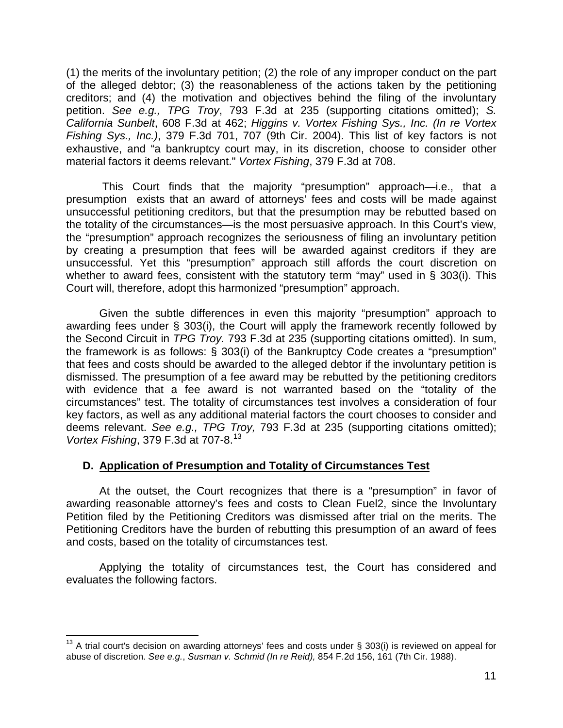(1) the merits of the involuntary petition; (2) the role of any improper conduct on the part of the alleged debtor; (3) the reasonableness of the actions taken by the petitioning creditors; and (4) the motivation and objectives behind the filing of the involuntary petition. *See e.g., TPG Troy*, 793 F.3d at 235 (supporting citations omitted); *S. California Sunbelt*, 608 F.3d at 462; *Higgins v. Vortex Fishing Sys., Inc. (In re Vortex Fishing Sys., Inc.)*, 379 F.3d 701, 707 (9th Cir. 2004). This list of key factors is not exhaustive, and "a bankruptcy court may, in its discretion, choose to consider other material factors it deems relevant." *Vortex Fishing*, 379 F.3d at 708.

This Court finds that the majority "presumption" approach—i.e., that a presumption exists that an award of attorneys' fees and costs will be made against unsuccessful petitioning creditors, but that the presumption may be rebutted based on the totality of the circumstances—is the most persuasive approach. In this Court's view, the "presumption" approach recognizes the seriousness of filing an involuntary petition by creating a presumption that fees will be awarded against creditors if they are unsuccessful. Yet this "presumption" approach still affords the court discretion on whether to award fees, consistent with the statutory term "may" used in § 303(i). This Court will, therefore, adopt this harmonized "presumption" approach.

Given the subtle differences in even this majority "presumption" approach to awarding fees under § 303(i), the Court will apply the framework recently followed by the Second Circuit in *TPG Troy.* 793 F.3d at 235 (supporting citations omitted). In sum, the framework is as follows: § 303(i) of the Bankruptcy Code creates a "presumption" that fees and costs should be awarded to the alleged debtor if the involuntary petition is dismissed. The presumption of a fee award may be rebutted by the petitioning creditors with evidence that a fee award is not warranted based on the "totality of the circumstances" test. The totality of circumstances test involves a consideration of four key factors, as well as any additional material factors the court chooses to consider and deems relevant. *See e.g., TPG Troy,* 793 F.3d at 235 (supporting citations omitted); *Vortex Fishing*, 379 F.3d at 707-8.<sup>13</sup>

# **D. Application of Presumption and Totality of Circumstances Test**

At the outset, the Court recognizes that there is a "presumption" in favor of awarding reasonable attorney's fees and costs to Clean Fuel2, since the Involuntary Petition filed by the Petitioning Creditors was dismissed after trial on the merits. The Petitioning Creditors have the burden of rebutting this presumption of an award of fees and costs, based on the totality of circumstances test.

Applying the totality of circumstances test, the Court has considered and evaluates the following factors.

 $\overline{\phantom{a}}$ <sup>13</sup> A trial court's decision on awarding attorneys' fees and costs under § 303(i) is reviewed on appeal for abuse of discretion. *See e.g.*, *Susman v. Schmid (In re Reid),* 854 F.2d 156, 161 (7th Cir. 1988).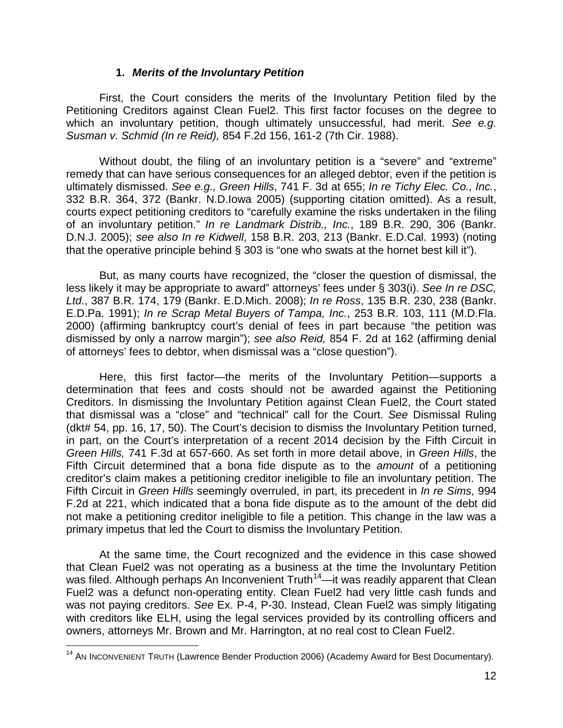#### **1.** *Merits of the Involuntary Petition*

First, the Court considers the merits of the Involuntary Petition filed by the Petitioning Creditors against Clean Fuel2. This first factor focuses on the degree to which an involuntary petition, though ultimately unsuccessful, had merit. *See e.g. Susman v. Schmid (In re Reid),* 854 F.2d 156, 161-2 (7th Cir. 1988).

Without doubt, the filing of an involuntary petition is a "severe" and "extreme" remedy that can have serious consequences for an alleged debtor, even if the petition is ultimately dismissed. *See e.g., Green Hills*, 741 F. 3d at 655; *In re Tichy Elec. Co., Inc.*, 332 B.R. 364, 372 (Bankr. N.D.Iowa 2005) (supporting citation omitted). As a result, courts expect petitioning creditors to "carefully examine the risks undertaken in the filing of an involuntary petition." *In re Landmark Distrib., Inc.*, 189 B.R. 290, 306 (Bankr. D.N.J. 2005); *see also In re Kidwell*, 158 B.R. 203, 213 (Bankr. E.D.Cal. 1993) (noting that the operative principle behind  $\S$  303 is "one who swats at the hornet best kill it").

But, as many courts have recognized, the "closer the question of dismissal, the less likely it may be appropriate to award" attorneys' fees under § 303(i). *See In re DSC, Ltd.*, 387 B.R. 174, 179 (Bankr. E.D.Mich. 2008); *In re Ross*, 135 B.R. 230, 238 (Bankr. E.D.Pa. 1991); *In re Scrap Metal Buyers of Tampa, Inc.*, 253 B.R. 103, 111 (M.D.Fla. 2000) (affirming bankruptcy court's denial of fees in part because "the petition was dismissed by only a narrow margin"); *see also Reid,* 854 F. 2d at 162 (affirming denial of attorneys' fees to debtor, when dismissal was a "close question").

Here, this first factor—the merits of the Involuntary Petition—supports a determination that fees and costs should not be awarded against the Petitioning Creditors. In dismissing the Involuntary Petition against Clean Fuel2, the Court stated that dismissal was a "close" and "technical" call for the Court. *See* Dismissal Ruling (dkt# 54, pp. 16, 17, 50). The Court's decision to dismiss the Involuntary Petition turned, in part, on the Court's interpretation of a recent 2014 decision by the Fifth Circuit in *Green Hills,* 741 F.3d at 657-660. As set forth in more detail above, in *Green Hills*, the Fifth Circuit determined that a bona fide dispute as to the *amount* of a petitioning creditor's claim makes a petitioning creditor ineligible to file an involuntary petition. The Fifth Circuit in *Green Hills* seemingly overruled, in part, its precedent in *In re Sims*, 994 F.2d at 221, which indicated that a bona fide dispute as to the amount of the debt did not make a petitioning creditor ineligible to file a petition. This change in the law was a primary impetus that led the Court to dismiss the Involuntary Petition.

At the same time, the Court recognized and the evidence in this case showed that Clean Fuel2 was not operating as a business at the time the Involuntary Petition was filed. Although perhaps An Inconvenient Truth<sup>14</sup>—it was readily apparent that Clean Fuel2 was a defunct non-operating entity. Clean Fuel2 had very little cash funds and was not paying creditors. *See* Ex. P-4, P-30. Instead, Clean Fuel2 was simply litigating with creditors like ELH, using the legal services provided by its controlling officers and owners, attorneys Mr. Brown and Mr. Harrington, at no real cost to Clean Fuel2.

 $\overline{\phantom{a}}$ <sup>14</sup> AN INCONVENIENT TRUTH (Lawrence Bender Production 2006) (Academy Award for Best Documentary).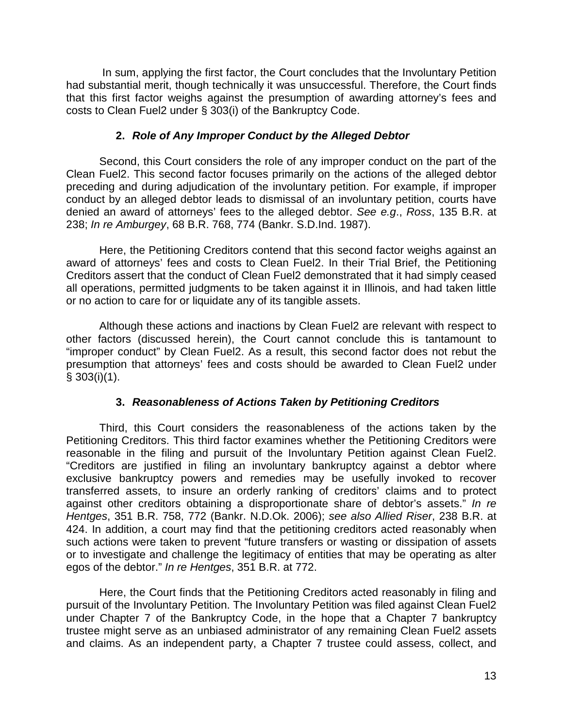In sum, applying the first factor, the Court concludes that the Involuntary Petition had substantial merit, though technically it was unsuccessful. Therefore, the Court finds that this first factor weighs against the presumption of awarding attorney's fees and costs to Clean Fuel2 under § 303(i) of the Bankruptcy Code.

# **2.** *Role of Any Improper Conduct by the Alleged Debtor*

Second, this Court considers the role of any improper conduct on the part of the Clean Fuel2. This second factor focuses primarily on the actions of the alleged debtor preceding and during adjudication of the involuntary petition. For example, if improper conduct by an alleged debtor leads to dismissal of an involuntary petition, courts have denied an award of attorneys' fees to the alleged debtor. *See e.g*., *Ross*, 135 B.R. at 238; *In re Amburgey*, 68 B.R. 768, 774 (Bankr. S.D.Ind. 1987).

Here, the Petitioning Creditors contend that this second factor weighs against an award of attorneys' fees and costs to Clean Fuel2. In their Trial Brief, the Petitioning Creditors assert that the conduct of Clean Fuel2 demonstrated that it had simply ceased all operations, permitted judgments to be taken against it in Illinois, and had taken little or no action to care for or liquidate any of its tangible assets.

Although these actions and inactions by Clean Fuel2 are relevant with respect to other factors (discussed herein), the Court cannot conclude this is tantamount to "improper conduct" by Clean Fuel2. As a result, this second factor does not rebut the presumption that attorneys' fees and costs should be awarded to Clean Fuel2 under  $§ 303(i)(1)$ .

## **3.** *Reasonableness of Actions Taken by Petitioning Creditors*

Third, this Court considers the reasonableness of the actions taken by the Petitioning Creditors. This third factor examines whether the Petitioning Creditors were reasonable in the filing and pursuit of the Involuntary Petition against Clean Fuel2. "Creditors are justified in filing an involuntary bankruptcy against a debtor where exclusive bankruptcy powers and remedies may be usefully invoked to recover transferred assets, to insure an orderly ranking of creditors' claims and to protect against other creditors obtaining a disproportionate share of debtor's assets." *In re Hentges*, 351 B.R. 758, 772 (Bankr. N.D.Ok. 2006); *see also Allied Riser*, 238 B.R. at 424. In addition, a court may find that the petitioning creditors acted reasonably when such actions were taken to prevent "future transfers or wasting or dissipation of assets or to investigate and challenge the legitimacy of entities that may be operating as alter egos of the debtor." *In re Hentges*, 351 B.R. at 772.

Here, the Court finds that the Petitioning Creditors acted reasonably in filing and pursuit of the Involuntary Petition. The Involuntary Petition was filed against Clean Fuel2 under Chapter 7 of the Bankruptcy Code, in the hope that a Chapter 7 bankruptcy trustee might serve as an unbiased administrator of any remaining Clean Fuel2 assets and claims. As an independent party, a Chapter 7 trustee could assess, collect, and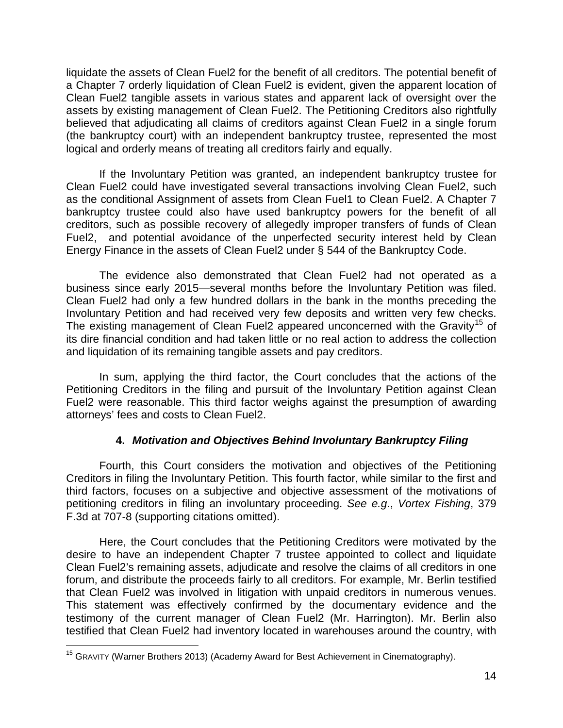liquidate the assets of Clean Fuel2 for the benefit of all creditors. The potential benefit of a Chapter 7 orderly liquidation of Clean Fuel2 is evident, given the apparent location of Clean Fuel2 tangible assets in various states and apparent lack of oversight over the assets by existing management of Clean Fuel2. The Petitioning Creditors also rightfully believed that adjudicating all claims of creditors against Clean Fuel2 in a single forum (the bankruptcy court) with an independent bankruptcy trustee, represented the most logical and orderly means of treating all creditors fairly and equally.

If the Involuntary Petition was granted, an independent bankruptcy trustee for Clean Fuel2 could have investigated several transactions involving Clean Fuel2, such as the conditional Assignment of assets from Clean Fuel1 to Clean Fuel2. A Chapter 7 bankruptcy trustee could also have used bankruptcy powers for the benefit of all creditors, such as possible recovery of allegedly improper transfers of funds of Clean Fuel2, and potential avoidance of the unperfected security interest held by Clean Energy Finance in the assets of Clean Fuel2 under § 544 of the Bankruptcy Code.

The evidence also demonstrated that Clean Fuel2 had not operated as a business since early 2015—several months before the Involuntary Petition was filed. Clean Fuel2 had only a few hundred dollars in the bank in the months preceding the Involuntary Petition and had received very few deposits and written very few checks. The existing management of Clean Fuel2 appeared unconcerned with the Gravity<sup>15</sup> of its dire financial condition and had taken little or no real action to address the collection and liquidation of its remaining tangible assets and pay creditors.

In sum, applying the third factor, the Court concludes that the actions of the Petitioning Creditors in the filing and pursuit of the Involuntary Petition against Clean Fuel2 were reasonable. This third factor weighs against the presumption of awarding attorneys' fees and costs to Clean Fuel2.

# **4.** *Motivation and Objectives Behind Involuntary Bankruptcy Filing*

Fourth, this Court considers the motivation and objectives of the Petitioning Creditors in filing the Involuntary Petition. This fourth factor, while similar to the first and third factors, focuses on a subjective and objective assessment of the motivations of petitioning creditors in filing an involuntary proceeding. *See e.g*., *Vortex Fishing*, 379 F.3d at 707-8 (supporting citations omitted).

Here, the Court concludes that the Petitioning Creditors were motivated by the desire to have an independent Chapter 7 trustee appointed to collect and liquidate Clean Fuel2's remaining assets, adjudicate and resolve the claims of all creditors in one forum, and distribute the proceeds fairly to all creditors. For example, Mr. Berlin testified that Clean Fuel2 was involved in litigation with unpaid creditors in numerous venues. This statement was effectively confirmed by the documentary evidence and the testimony of the current manager of Clean Fuel2 (Mr. Harrington). Mr. Berlin also testified that Clean Fuel2 had inventory located in warehouses around the country, with

 $\overline{\phantom{a}}$ <sup>15</sup> GRAVITY (Warner Brothers 2013) (Academy Award for Best Achievement in Cinematography).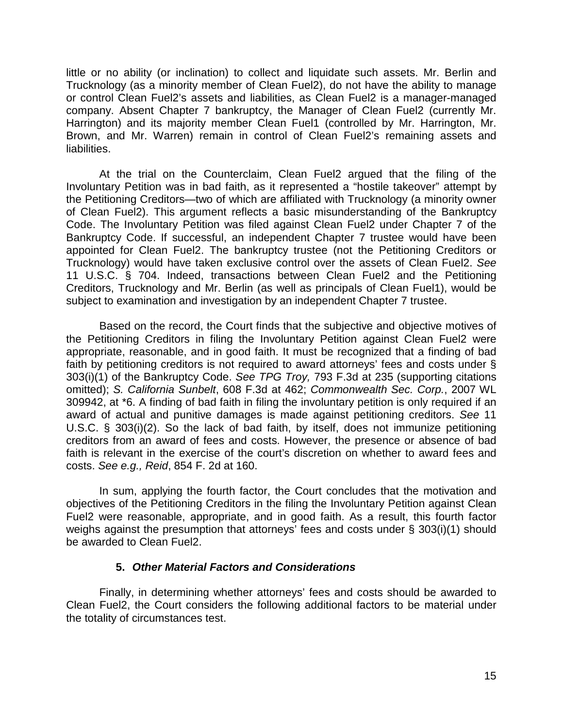little or no ability (or inclination) to collect and liquidate such assets. Mr. Berlin and Trucknology (as a minority member of Clean Fuel2), do not have the ability to manage or control Clean Fuel2's assets and liabilities, as Clean Fuel2 is a manager-managed company. Absent Chapter 7 bankruptcy, the Manager of Clean Fuel2 (currently Mr. Harrington) and its majority member Clean Fuel1 (controlled by Mr. Harrington, Mr. Brown, and Mr. Warren) remain in control of Clean Fuel2's remaining assets and liabilities.

At the trial on the Counterclaim, Clean Fuel2 argued that the filing of the Involuntary Petition was in bad faith, as it represented a "hostile takeover" attempt by the Petitioning Creditors—two of which are affiliated with Trucknology (a minority owner of Clean Fuel2). This argument reflects a basic misunderstanding of the Bankruptcy Code. The Involuntary Petition was filed against Clean Fuel2 under Chapter 7 of the Bankruptcy Code. If successful, an independent Chapter 7 trustee would have been appointed for Clean Fuel2. The bankruptcy trustee (not the Petitioning Creditors or Trucknology) would have taken exclusive control over the assets of Clean Fuel2. *See* 11 U.S.C. § 704. Indeed, transactions between Clean Fuel2 and the Petitioning Creditors, Trucknology and Mr. Berlin (as well as principals of Clean Fuel1), would be subject to examination and investigation by an independent Chapter 7 trustee.

Based on the record, the Court finds that the subjective and objective motives of the Petitioning Creditors in filing the Involuntary Petition against Clean Fuel2 were appropriate, reasonable, and in good faith. It must be recognized that a finding of bad faith by petitioning creditors is not required to award attorneys' fees and costs under § 303(i)(1) of the Bankruptcy Code. *See TPG Troy,* 793 F.3d at 235 (supporting citations omitted); *S. California Sunbelt*, 608 F.3d at 462; *Commonwealth Sec. Corp.*, 2007 WL 309942, at \*6. A finding of bad faith in filing the involuntary petition is only required if an award of actual and punitive damages is made against petitioning creditors. *See* 11 U.S.C. § 303(i)(2). So the lack of bad faith, by itself, does not immunize petitioning creditors from an award of fees and costs. However, the presence or absence of bad faith is relevant in the exercise of the court's discretion on whether to award fees and costs. *See e.g., Reid*, 854 F. 2d at 160.

In sum, applying the fourth factor, the Court concludes that the motivation and objectives of the Petitioning Creditors in the filing the Involuntary Petition against Clean Fuel2 were reasonable, appropriate, and in good faith. As a result, this fourth factor weighs against the presumption that attorneys' fees and costs under § 303(i)(1) should be awarded to Clean Fuel2.

#### **5.** *Other Material Factors and Considerations*

Finally, in determining whether attorneys' fees and costs should be awarded to Clean Fuel2, the Court considers the following additional factors to be material under the totality of circumstances test.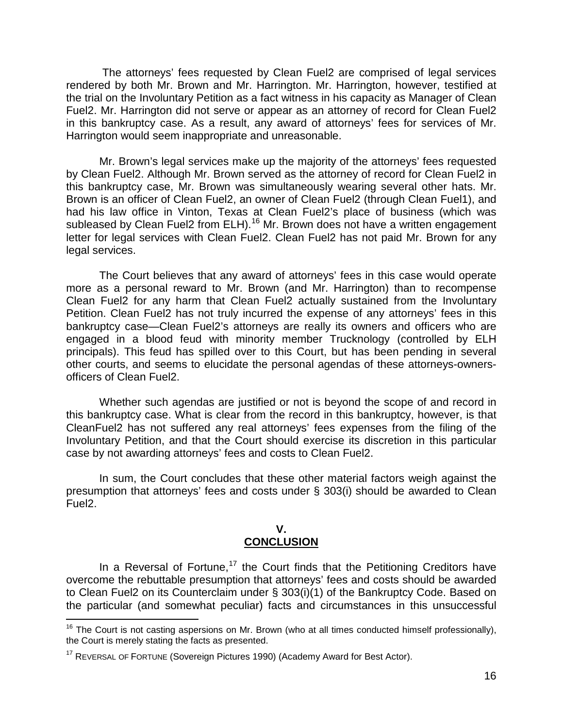The attorneys' fees requested by Clean Fuel2 are comprised of legal services rendered by both Mr. Brown and Mr. Harrington. Mr. Harrington, however, testified at the trial on the Involuntary Petition as a fact witness in his capacity as Manager of Clean Fuel2. Mr. Harrington did not serve or appear as an attorney of record for Clean Fuel2 in this bankruptcy case. As a result, any award of attorneys' fees for services of Mr. Harrington would seem inappropriate and unreasonable.

Mr. Brown's legal services make up the majority of the attorneys' fees requested by Clean Fuel2. Although Mr. Brown served as the attorney of record for Clean Fuel2 in this bankruptcy case, Mr. Brown was simultaneously wearing several other hats. Mr. Brown is an officer of Clean Fuel2, an owner of Clean Fuel2 (through Clean Fuel1), and had his law office in Vinton, Texas at Clean Fuel2's place of business (which was subleased by Clean Fuel2 from ELH).<sup>16</sup> Mr. Brown does not have a written engagement letter for legal services with Clean Fuel2. Clean Fuel2 has not paid Mr. Brown for any legal services.

The Court believes that any award of attorneys' fees in this case would operate more as a personal reward to Mr. Brown (and Mr. Harrington) than to recompense Clean Fuel2 for any harm that Clean Fuel2 actually sustained from the Involuntary Petition. Clean Fuel2 has not truly incurred the expense of any attorneys' fees in this bankruptcy case—Clean Fuel2's attorneys are really its owners and officers who are engaged in a blood feud with minority member Trucknology (controlled by ELH principals). This feud has spilled over to this Court, but has been pending in several other courts, and seems to elucidate the personal agendas of these attorneys-ownersofficers of Clean Fuel2.

Whether such agendas are justified or not is beyond the scope of and record in this bankruptcy case. What is clear from the record in this bankruptcy, however, is that CleanFuel2 has not suffered any real attorneys' fees expenses from the filing of the Involuntary Petition, and that the Court should exercise its discretion in this particular case by not awarding attorneys' fees and costs to Clean Fuel2.

In sum, the Court concludes that these other material factors weigh against the presumption that attorneys' fees and costs under § 303(i) should be awarded to Clean Fuel2.

#### **V. CONCLUSION**

In a Reversal of Fortune,<sup>17</sup> the Court finds that the Petitioning Creditors have overcome the rebuttable presumption that attorneys' fees and costs should be awarded to Clean Fuel2 on its Counterclaim under § 303(i)(1) of the Bankruptcy Code. Based on the particular (and somewhat peculiar) facts and circumstances in this unsuccessful

 $\overline{\phantom{a}}$ <sup>16</sup> The Court is not casting aspersions on Mr. Brown (who at all times conducted himself professionally), the Court is merely stating the facts as presented.

<sup>&</sup>lt;sup>17</sup> REVERSAL OF FORTUNE (Sovereign Pictures 1990) (Academy Award for Best Actor).